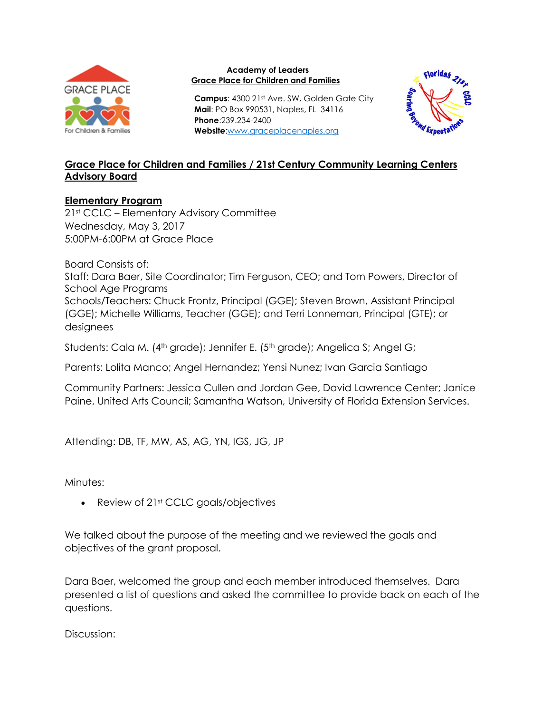

## **Academy of Leaders Grace Place for Children and Families**

**Campus**: 4300 21st Ave. SW, Golden Gate City **Mail**: PO Box 990531, Naples, FL 34116 **Phone**:239.234-2400 **Website**[:www.graceplacenaples.org](http://www.graceplacenaples.org/)



## **Grace Place for Children and Families / 21st Century Community Learning Centers Advisory Board**

## **Elementary Program**

21st CCLC – Elementary Advisory Committee Wednesday, May 3, 2017 5:00PM-6:00PM at Grace Place

Board Consists of: Staff: Dara Baer, Site Coordinator; Tim Ferguson, CEO; and Tom Powers, Director of School Age Programs Schools/Teachers: Chuck Frontz, Principal (GGE); Steven Brown, Assistant Principal (GGE); Michelle Williams, Teacher (GGE); and Terri Lonneman, Principal (GTE); or designees

Students: Cala M. (4<sup>th</sup> grade); Jennifer E. (5<sup>th</sup> grade); Angelica S; Angel G;

Parents: Lolita Manco; Angel Hernandez; Yensi Nunez; Ivan Garcia Santiago

Community Partners: Jessica Cullen and Jordan Gee, David Lawrence Center; Janice Paine, United Arts Council; Samantha Watson, University of Florida Extension Services.

Attending: DB, TF, MW, AS, AG, YN, IGS, JG, JP

## Minutes:

• Review of 21st CCLC goals/objectives

We talked about the purpose of the meeting and we reviewed the goals and objectives of the grant proposal.

Dara Baer, welcomed the group and each member introduced themselves. Dara presented a list of questions and asked the committee to provide back on each of the questions.

Discussion: